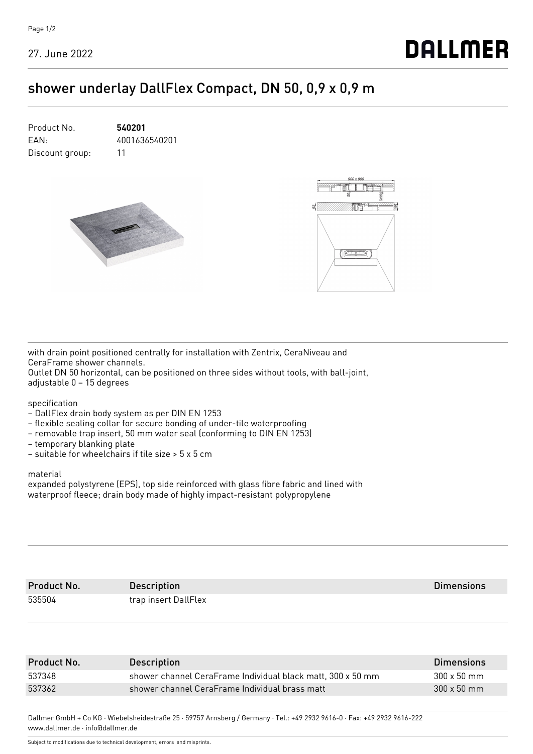## shower underlay DallFlex Compact, DN 50, 0,9 x 0,9 m

| Product No.     | 540201        |
|-----------------|---------------|
| EAN:            | 4001636540201 |
| Discount group: | 11            |





with drain point positioned centrally for installation with Zentrix, CeraNiveau and CeraFrame shower channels. Outlet DN 50 horizontal, can be positioned on three sides without tools, with ball-joint, adjustable 0 – 15 degrees

## specification

- DallFlex drain body system as per DIN EN 1253
- flexible sealing collar for secure bonding of under-tile waterproofing
- removable trap insert, 50 mm water seal (conforming to DIN EN 1253)
- temporary blanking plate
- suitable for wheelchairs if tile size > 5 x 5 cm

material

expanded polystyrene (EPS), top side reinforced with glass fibre fabric and lined with waterproof fleece; drain body made of highly impact-resistant polypropylene

| Product No. | <b>Description</b>   | <b>Dimensions</b> |
|-------------|----------------------|-------------------|
| 535504      | trap insert DallFlex |                   |

| Product No. | <b>Description</b>                                          | <b>Dimensions</b>          |
|-------------|-------------------------------------------------------------|----------------------------|
| 537348      | shower channel CeraFrame Individual black matt, 300 x 50 mm | $300 \times 50$ mm         |
| 537362      | shower channel CeraFrame Individual brass matt              | $300 \times 50 \text{ mm}$ |
|             |                                                             |                            |

Dallmer GmbH + Co KG · Wiebelsheidestraße 25 · 59757 Arnsberg / Germany · Tel.: +49 2932 9616-0 · Fax: +49 2932 9616-222 www.dallmer.de · info@dallmer.de

Subject to modifications due to technical development, errors and misprints.